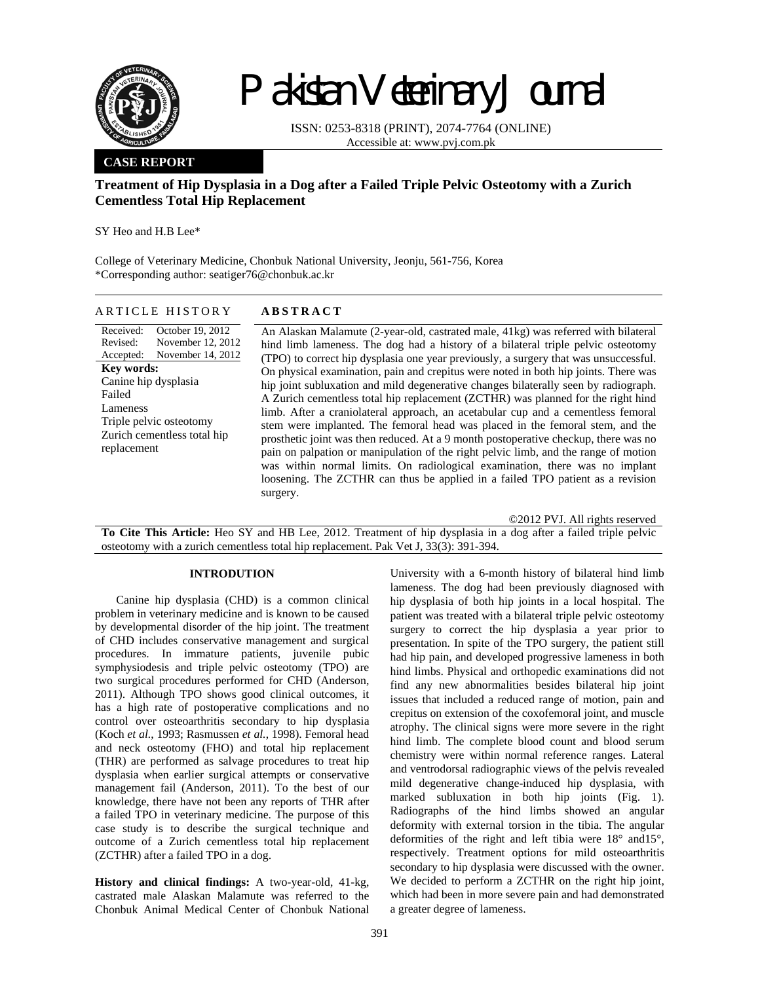

# Pakistan Veterinary Journal

ISSN: 0253-8318 (PRINT), 2074-7764 (ONLINE) Accessible at: www.pvj.com.pk

# **CASE REPORT**

# **Treatment of Hip Dysplasia in a Dog after a Failed Triple Pelvic Osteotomy with a Zurich Cementless Total Hip Replacement**

SY Heo and H.B Lee\*

College of Veterinary Medicine, Chonbuk National University, Jeonju, 561-756, Korea \*Corresponding author: seatiger76@chonbuk.ac.kr

## ARTICLE HISTORY **ABSTRACT**

Received: Revised: Accepted: October 19, 2012 November 12, 2012 November 14, 2012 **Key words:**  Canine hip dysplasia Failed Lameness Triple pelvic osteotomy Zurich cementless total hip replacement

An Alaskan Malamute (2-year-old, castrated male, 41kg) was referred with bilateral hind limb lameness. The dog had a history of a bilateral triple pelvic osteotomy (TPO) to correct hip dysplasia one year previously, a surgery that was unsuccessful. On physical examination, pain and crepitus were noted in both hip joints. There was hip joint subluxation and mild degenerative changes bilaterally seen by radiograph. A Zurich cementless total hip replacement (ZCTHR) was planned for the right hind limb. After a craniolateral approach, an acetabular cup and a cementless femoral stem were implanted. The femoral head was placed in the femoral stem, and the prosthetic joint was then reduced. At a 9 month postoperative checkup, there was no pain on palpation or manipulation of the right pelvic limb, and the range of motion was within normal limits. On radiological examination, there was no implant loosening. The ZCTHR can thus be applied in a failed TPO patient as a revision surgery.

©2012 PVJ. All rights reserved **To Cite This Article:** Heo SY and HB Lee, 2012. Treatment of hip dysplasia in a dog after a failed triple pelvic osteotomy with a zurich cementless total hip replacement. Pak Vet J, 33(3): 391-394.

# **INTRODUTION**

Canine hip dysplasia (CHD) is a common clinical problem in veterinary medicine and is known to be caused by developmental disorder of the hip joint. The treatment of CHD includes conservative management and surgical procedures. In immature patients, juvenile pubic symphysiodesis and triple pelvic osteotomy (TPO) are two surgical procedures performed for CHD (Anderson, 2011). Although TPO shows good clinical outcomes, it has a high rate of postoperative complications and no control over osteoarthritis secondary to hip dysplasia (Koch *et al.*, 1993; Rasmussen *et al.*, 1998). Femoral head and neck osteotomy (FHO) and total hip replacement (THR) are performed as salvage procedures to treat hip dysplasia when earlier surgical attempts or conservative management fail (Anderson, 2011). To the best of our knowledge, there have not been any reports of THR after a failed TPO in veterinary medicine. The purpose of this case study is to describe the surgical technique and outcome of a Zurich cementless total hip replacement (ZCTHR) after a failed TPO in a dog.

**History and clinical findings:** A two-year-old, 41-kg, castrated male Alaskan Malamute was referred to the Chonbuk Animal Medical Center of Chonbuk National

University with a 6-month history of bilateral hind limb lameness. The dog had been previously diagnosed with hip dysplasia of both hip joints in a local hospital. The patient was treated with a bilateral triple pelvic osteotomy surgery to correct the hip dysplasia a year prior to presentation. In spite of the TPO surgery, the patient still had hip pain, and developed progressive lameness in both hind limbs. Physical and orthopedic examinations did not find any new abnormalities besides bilateral hip joint issues that included a reduced range of motion, pain and crepitus on extension of the coxofemoral joint, and muscle atrophy. The clinical signs were more severe in the right hind limb. The complete blood count and blood serum chemistry were within normal reference ranges. Lateral and ventrodorsal radiographic views of the pelvis revealed mild degenerative change-induced hip dysplasia, with marked subluxation in both hip joints (Fig. 1). Radiographs of the hind limbs showed an angular deformity with external torsion in the tibia. The angular deformities of the right and left tibia were 18° and15°, respectively. Treatment options for mild osteoarthritis secondary to hip dysplasia were discussed with the owner. We decided to perform a ZCTHR on the right hip joint, which had been in more severe pain and had demonstrated a greater degree of lameness.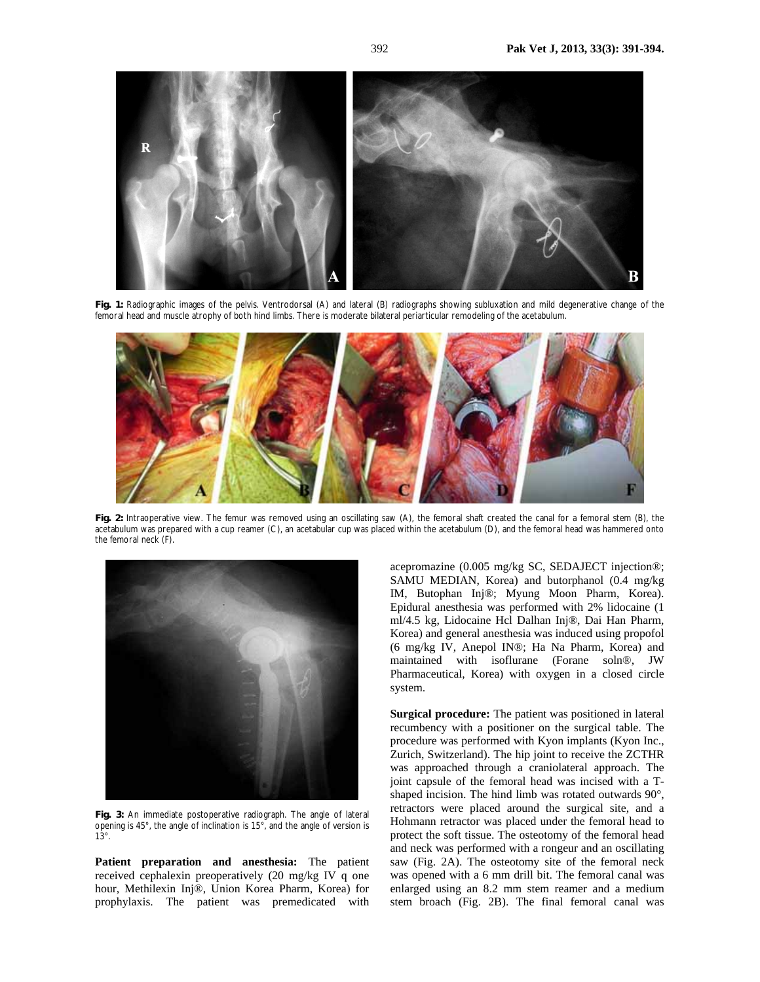

**Fig. 1:** Radiographic images of the pelvis. Ventrodorsal (A) and lateral (B) radiographs showing subluxation and mild degenerative change of the femoral head and muscle atrophy of both hind limbs. There is moderate bilateral periarticular remodeling of the acetabulum.



**Fig. 2:** Intraoperative view. The femur was removed using an oscillating saw (A), the femoral shaft created the canal for a femoral stem (B), the acetabulum was prepared with a cup reamer (C), an acetabular cup was placed within the acetabulum (D), and the femoral head was hammered onto the femoral neck (F).



**Fig. 3:** An immediate postoperative radiograph. The angle of lateral opening is 45°, the angle of inclination is 15°, and the angle of version is 13°.

**Patient preparation and anesthesia:** The patient received cephalexin preoperatively (20 mg/kg IV q one hour, Methilexin Inj®, Union Korea Pharm, Korea) for prophylaxis. The patient was premedicated with acepromazine (0.005 mg/kg SC, SEDAJECT injection®; SAMU MEDIAN, Korea) and butorphanol (0.4 mg/kg IM, Butophan Inj®; Myung Moon Pharm, Korea). Epidural anesthesia was performed with 2% lidocaine (1 ml/4.5 kg, Lidocaine Hcl Dalhan Inj®, Dai Han Pharm, Korea) and general anesthesia was induced using propofol (6 mg/kg IV, Anepol IN®; Ha Na Pharm, Korea) and maintained with isoflurane (Forane soln®, JW Pharmaceutical, Korea) with oxygen in a closed circle system.

**Surgical procedure:** The patient was positioned in lateral recumbency with a positioner on the surgical table. The procedure was performed with Kyon implants (Kyon Inc., Zurich, Switzerland). The hip joint to receive the ZCTHR was approached through a craniolateral approach. The joint capsule of the femoral head was incised with a Tshaped incision. The hind limb was rotated outwards 90°, retractors were placed around the surgical site, and a Hohmann retractor was placed under the femoral head to protect the soft tissue. The osteotomy of the femoral head and neck was performed with a rongeur and an oscillating saw (Fig. 2A). The osteotomy site of the femoral neck was opened with a 6 mm drill bit. The femoral canal was enlarged using an 8.2 mm stem reamer and a medium stem broach (Fig. 2B). The final femoral canal was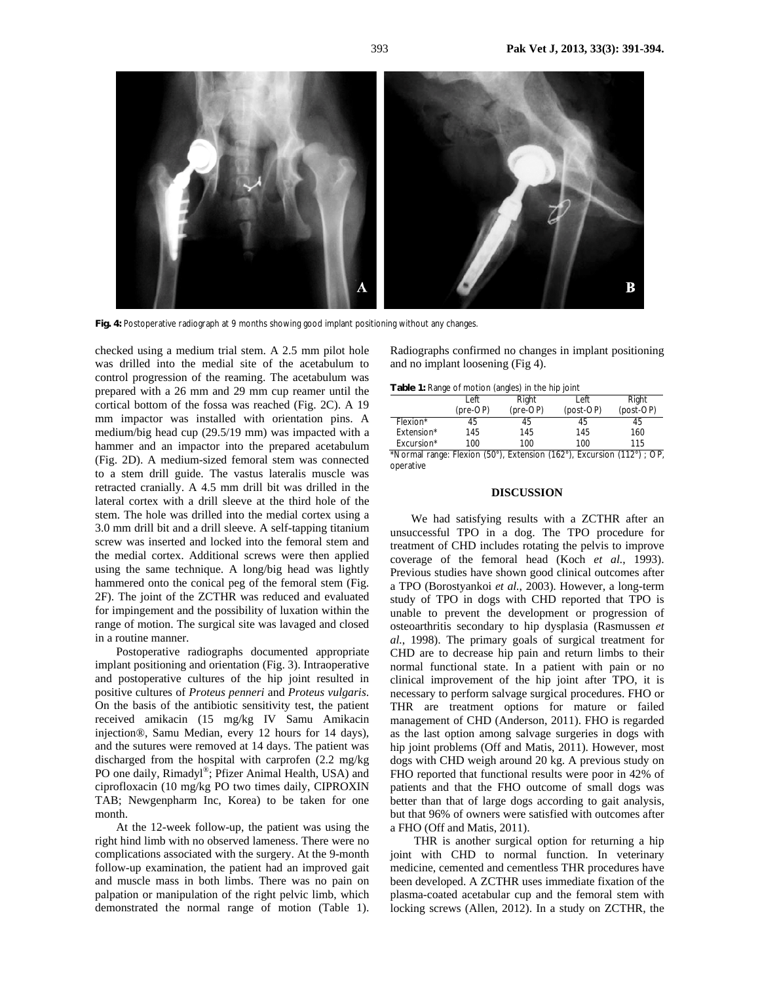

**Fig. 4:** Postoperative radiograph at 9 months showing good implant positioning without any changes.

checked using a medium trial stem. A 2.5 mm pilot hole was drilled into the medial site of the acetabulum to control progression of the reaming. The acetabulum was prepared with a 26 mm and 29 mm cup reamer until the cortical bottom of the fossa was reached (Fig. 2C). A 19 mm impactor was installed with orientation pins. A medium/big head cup (29.5/19 mm) was impacted with a hammer and an impactor into the prepared acetabulum (Fig. 2D). A medium-sized femoral stem was connected to a stem drill guide. The vastus lateralis muscle was retracted cranially. A 4.5 mm drill bit was drilled in the lateral cortex with a drill sleeve at the third hole of the stem. The hole was drilled into the medial cortex using a 3.0 mm drill bit and a drill sleeve. A self-tapping titanium screw was inserted and locked into the femoral stem and the medial cortex. Additional screws were then applied using the same technique. A long/big head was lightly hammered onto the conical peg of the femoral stem (Fig. 2F). The joint of the ZCTHR was reduced and evaluated for impingement and the possibility of luxation within the range of motion. The surgical site was lavaged and closed in a routine manner.

Postoperative radiographs documented appropriate implant positioning and orientation (Fig. 3). Intraoperative and postoperative cultures of the hip joint resulted in positive cultures of *Proteus penneri* and *Proteus vulgaris*. On the basis of the antibiotic sensitivity test, the patient received amikacin (15 mg/kg IV Samu Amikacin injection®, Samu Median, every 12 hours for 14 days), and the sutures were removed at 14 days. The patient was discharged from the hospital with carprofen (2.2 mg/kg PO one daily, Rimadyl®; Pfizer Animal Health, USA) and ciprofloxacin (10 mg/kg PO two times daily, CIPROXIN TAB; Newgenpharm Inc, Korea) to be taken for one month.

At the 12-week follow-up, the patient was using the right hind limb with no observed lameness. There were no complications associated with the surgery. At the 9-month follow-up examination, the patient had an improved gait and muscle mass in both limbs. There was no pain on palpation or manipulation of the right pelvic limb, which demonstrated the normal range of motion (Table 1).

Radiographs confirmed no changes in implant positioning and no implant loosening (Fig 4).

|                                                                        | Left     | Right    | Left      | Right     |
|------------------------------------------------------------------------|----------|----------|-----------|-----------|
|                                                                        | (pre-OP) | (pre-OP) | (post-OP) | (post-OP) |
| Flexion*                                                               | 45       | 45       | 45        | 45        |
| Extension*                                                             | 145      | 145      | 145       | 160       |
| Excursion*                                                             | 100      | 100      | 100       | 115       |
| *Normal range: Flexion (50°), Extension (162°), Excursion (112°) ; OP, |          |          |           |           |

operative

### **DISCUSSION**

We had satisfying results with a ZCTHR after an unsuccessful TPO in a dog. The TPO procedure for treatment of CHD includes rotating the pelvis to improve coverage of the femoral head (Koch *et al.*, 1993). Previous studies have shown good clinical outcomes after a TPO (Borostyankoi *et al.*, 2003). However, a long-term study of TPO in dogs with CHD reported that TPO is unable to prevent the development or progression of osteoarthritis secondary to hip dysplasia (Rasmussen *et al.*, 1998). The primary goals of surgical treatment for CHD are to decrease hip pain and return limbs to their normal functional state. In a patient with pain or no clinical improvement of the hip joint after TPO, it is necessary to perform salvage surgical procedures. FHO or THR are treatment options for mature or failed management of CHD (Anderson, 2011). FHO is regarded as the last option among salvage surgeries in dogs with hip joint problems (Off and Matis, 2011). However, most dogs with CHD weigh around 20 kg. A previous study on FHO reported that functional results were poor in 42% of patients and that the FHO outcome of small dogs was better than that of large dogs according to gait analysis, but that 96% of owners were satisfied with outcomes after a FHO (Off and Matis, 2011).

 THR is another surgical option for returning a hip joint with CHD to normal function. In veterinary medicine, cemented and cementless THR procedures have been developed. A ZCTHR uses immediate fixation of the plasma-coated acetabular cup and the femoral stem with locking screws (Allen, 2012). In a study on ZCTHR, the